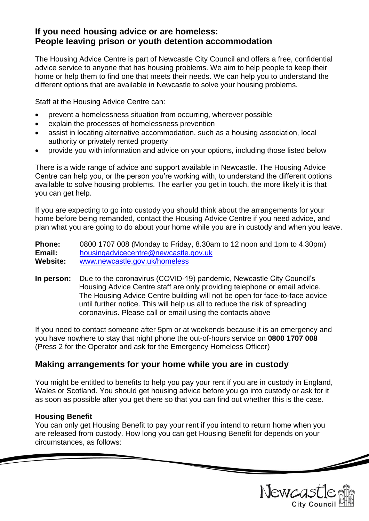# **If you need housing advice or are homeless: People leaving prison or youth detention accommodation**

The Housing Advice Centre is part of Newcastle City Council and offers a free, confidential advice service to anyone that has housing problems. We aim to help people to keep their home or help them to find one that meets their needs. We can help you to understand the different options that are available in Newcastle to solve your housing problems.

Staff at the Housing Advice Centre can:

- prevent a homelessness situation from occurring, wherever possible
- explain the processes of homelessness prevention
- assist in locating alternative accommodation, such as a housing association, local authority or privately rented property
- provide you with information and advice on your options, including those listed below

There is a wide range of advice and support available in Newcastle. The Housing Advice Centre can help you, or the person you're working with, to understand the different options available to solve housing problems. The earlier you get in touch, the more likely it is that you can get help.

If you are expecting to go into custody you should think about the arrangements for your home before being remanded, contact the Housing Advice Centre if you need advice, and plan what you are going to do about your home while you are in custody and when you leave.

**Phone:** 0800 1707 008 (Monday to Friday, 8.30am to 12 noon and 1pm to 4.30pm) **Email:** [housingadvicecentre@newcastle.gov.uk](mailto:housingadvicecentre@newcastle.gov.uk) **Website:** [www.newcastle.gov.uk/homeless](http://www.newcastle.gov.uk/homeless)

**In person:** Due to the coronavirus (COVID-19) pandemic, Newcastle City Council's Housing Advice Centre staff are only providing telephone or email advice. The Housing Advice Centre building will not be open for face-to-face advice until further notice. This will help us all to reduce the risk of spreading coronavirus. Please call or email using the contacts above

If you need to contact someone after 5pm or at weekends because it is an emergency and you have nowhere to stay that night phone the out-of-hours service on **0800 1707 008** (Press 2 for the Operator and ask for the Emergency Homeless Officer)

# **Making arrangements for your home while you are in custody**

You might be entitled to benefits to help you pay your rent if you are in custody in England, Wales or Scotland. You should get housing advice before you go into custody or ask for it as soon as possible after you get there so that you can find out whether this is the case.

### **Housing Benefit**

You can only get Housing Benefit to pay your rent if you intend to return home when you are released from custody. How long you can get Housing Benefit for depends on your circumstances, as follows:



 $\overline{\phantom{a}}$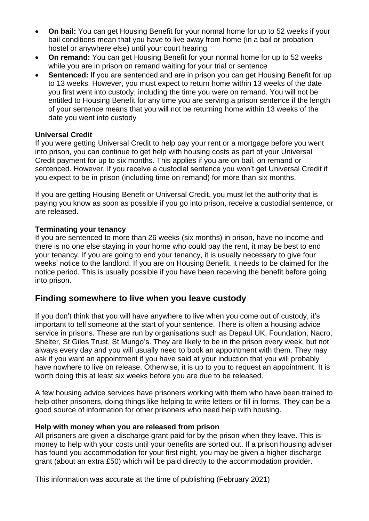- **On bail:** You can get Housing Benefit for your normal home for up to 52 weeks if your bail conditions mean that you have to live away from home (in a bail or probation hostel or anywhere else) until your court hearing
- **On remand:** You can get Housing Benefit for your normal home for up to 52 weeks while you are in prison on remand waiting for your trial or sentence
- **Sentenced:** If you are sentenced and are in prison you can get Housing Benefit for up to 13 weeks. However, you must expect to return home within 13 weeks of the date you first went into custody, including the time you were on remand. You will not be entitled to Housing Benefit for any time you are serving a prison sentence if the length of your sentence means that you will not be returning home within 13 weeks of the date you went into custody

## **Universal Credit**

If you were getting Universal Credit to help pay your rent or a mortgage before you went into prison, you can continue to get help with housing costs as part of your Universal Credit payment for up to six months. This applies if you are on bail, on remand or sentenced. However, if you receive a custodial sentence you won't get Universal Credit if you expect to be in prison (including time on remand) for more than six months.

If you are getting Housing Benefit or Universal Credit, you must let the authority that is paying you know as soon as possible if you go into prison, receive a custodial sentence, or are released.

### **Terminating your tenancy**

If you are sentenced to more than 26 weeks (six months) in prison, have no income and there is no one else staying in your home who could pay the rent, it may be best to end your tenancy. If you are going to end your tenancy, it is usually necessary to give four weeks' notice to the landlord. If you are on Housing Benefit, it needs to be claimed for the notice period. This is usually possible if you have been receiving the benefit before going into prison.

# **Finding somewhere to live when you leave custody**

If you don't think that you will have anywhere to live when you come out of custody, it's important to tell someone at the start of your sentence. There is often a housing advice service in prisons. These are run by organisations such as Depaul UK, Foundation, Nacro, Shelter, St Giles Trust, St Mungo's. They are likely to be in the prison every week, but not always every day and you will usually need to book an appointment with them. They may ask if you want an appointment if you have said at your induction that you will probably have nowhere to live on release. Otherwise, it is up to you to request an appointment. It is worth doing this at least six weeks before you are due to be released.

A few housing advice services have prisoners working with them who have been trained to help other prisoners, doing things like helping to write letters or fill in forms. They can be a good source of information for other prisoners who need help with housing.

### **Help with money when you are released from prison**

All prisoners are given a discharge grant paid for by the prison when they leave. This is money to help with your costs until your benefits are sorted out. If a prison housing adviser has found you accommodation for your first night, you may be given a higher discharge grant (about an extra £50) which will be paid directly to the accommodation provider.

This information was accurate at the time of publishing (February 2021)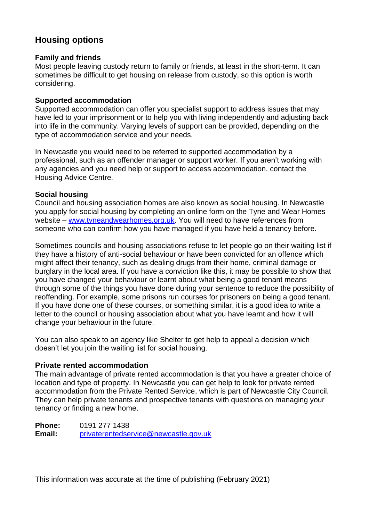# **Housing options**

### **Family and friends**

Most people leaving custody return to family or friends, at least in the short-term. It can sometimes be difficult to get housing on release from custody, so this option is worth considering.

### **Supported accommodation**

Supported accommodation can offer you specialist support to address issues that may have led to your imprisonment or to help you with living independently and adjusting back into life in the community. Varying levels of support can be provided, depending on the type of accommodation service and your needs.

In Newcastle you would need to be referred to supported accommodation by a professional, such as an offender manager or support worker. If you aren't working with any agencies and you need help or support to access accommodation, contact the Housing Advice Centre.

## **Social housing**

Council and housing association homes are also known as social housing. In Newcastle you apply for social housing by completing an online form on the Tyne and Wear Homes website – [www.tyneandwearhomes.org.uk.](http://www.tyneandwearhomes.org.uk/) You will need to have references from someone who can confirm how you have managed if you have held a tenancy before.

Sometimes councils and housing associations refuse to let people go on their waiting list if they have a history of anti-social behaviour or have been convicted for an offence which might affect their tenancy, such as dealing drugs from their home, criminal damage or burglary in the local area. If you have a conviction like this, it may be possible to show that you have changed your behaviour or learnt about what being a good tenant means through some of the things you have done during your sentence to reduce the possibility of reoffending. For example, some prisons run courses for prisoners on being a good tenant. If you have done one of these courses, or something similar, it is a good idea to write a letter to the council or housing association about what you have learnt and how it will change your behaviour in the future.

You can also speak to an agency like Shelter to get help to appeal a decision which doesn't let you join the waiting list for social housing.

### **Private rented accommodation**

The main advantage of private rented accommodation is that you have a greater choice of location and type of property. In Newcastle you can get help to look for private rented accommodation from the Private Rented Service, which is part of Newcastle City Council. They can help private tenants and prospective tenants with questions on managing your tenancy or finding a new home.

**Phone:** 0191 277 1438 **Email:** [privaterentedservice@newcastle.gov.uk](mailto:privaterentedservice@newcastle.gov.uk)

This information was accurate at the time of publishing (February 2021)